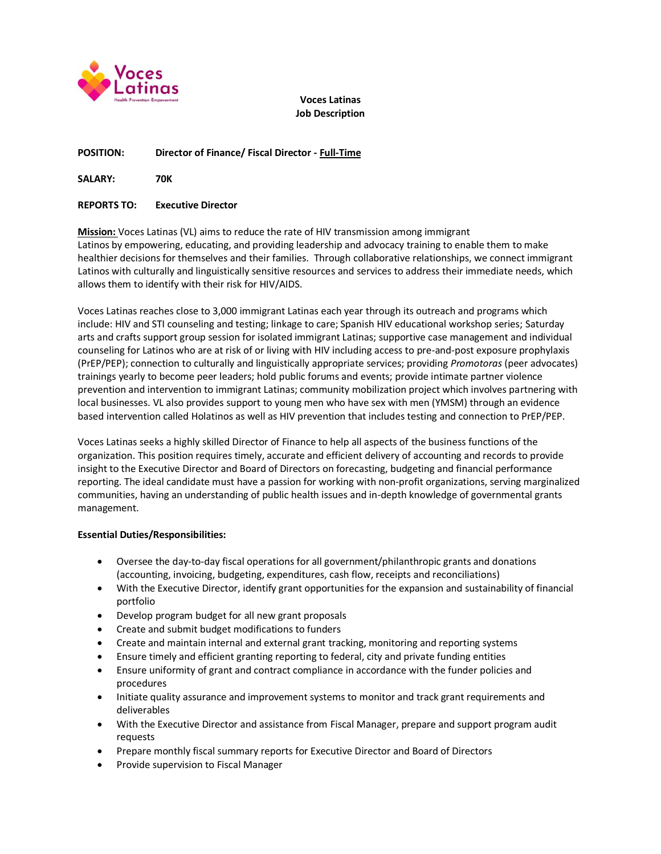

**Voces Latinas Job Description**

## **POSITION: Director of Finance/ Fiscal Director - Full-Time**

**SALARY: 70K**

#### **REPORTS TO: Executive Director**

**Mission:** Voces Latinas (VL) aims to reduce the rate of HIV transmission among immigrant Latinos by empowering, educating, and providing leadership and advocacy training to enable them to make healthier decisions for themselves and their families. Through collaborative relationships, we connect immigrant Latinos with culturally and linguistically sensitive resources and services to address their immediate needs, which allows them to identify with their risk for HIV/AIDS.

Voces Latinas reaches close to 3,000 immigrant Latinas each year through its outreach and programs which include: HIV and STI counseling and testing; linkage to care; Spanish HIV educational workshop series; Saturday arts and crafts support group session for isolated immigrant Latinas; supportive case management and individual counseling for Latinos who are at risk of or living with HIV including access to pre-and-post exposure prophylaxis (PrEP/PEP); connection to culturally and linguistically appropriate services; providing *Promotoras* (peer advocates) trainings yearly to become peer leaders; hold public forums and events; provide intimate partner violence prevention and intervention to immigrant Latinas; community mobilization project which involves partnering with local businesses. VL also provides support to young men who have sex with men (YMSM) through an evidence based intervention called Holatinos as well as HIV prevention that includes testing and connection to PrEP/PEP.

Voces Latinas seeks a highly skilled Director of Finance to help all aspects of the business functions of the organization. This position requires timely, accurate and efficient delivery of accounting and records to provide insight to the Executive Director and Board of Directors on forecasting, budgeting and financial performance reporting. The ideal candidate must have a passion for working with non-profit organizations, serving marginalized communities, having an understanding of public health issues and in-depth knowledge of governmental grants management.

## **Essential Duties/Responsibilities:**

- Oversee the day-to-day fiscal operations for all government/philanthropic grants and donations (accounting, invoicing, budgeting, expenditures, cash flow, receipts and reconciliations)
- With the Executive Director, identify grant opportunities for the expansion and sustainability of financial portfolio
- Develop program budget for all new grant proposals
- Create and submit budget modifications to funders
- Create and maintain internal and external grant tracking, monitoring and reporting systems
- Ensure timely and efficient granting reporting to federal, city and private funding entities
- Ensure uniformity of grant and contract compliance in accordance with the funder policies and procedures
- Initiate quality assurance and improvement systems to monitor and track grant requirements and deliverables
- With the Executive Director and assistance from Fiscal Manager, prepare and support program audit requests
- Prepare monthly fiscal summary reports for Executive Director and Board of Directors
- Provide supervision to Fiscal Manager